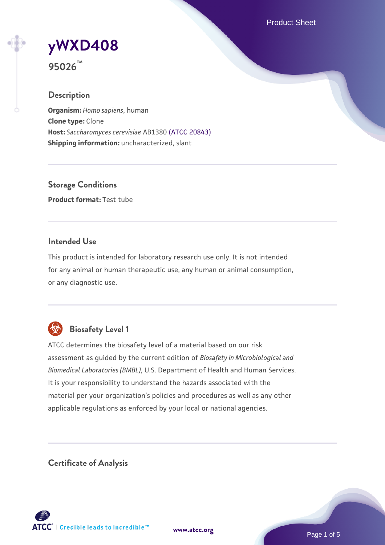Product Sheet

# **[yWXD408](https://www.atcc.org/products/95026)**

**95026™**

# **Description**

**Organism:** *Homo sapiens*, human **Clone type:** Clone **Host:** *Saccharomyces cerevisiae* AB1380 [\(ATCC 20843\)](https://www.atcc.org/products/20843) **Shipping information:** uncharacterized, slant

**Storage Conditions Product format:** Test tube

# **Intended Use**

This product is intended for laboratory research use only. It is not intended for any animal or human therapeutic use, any human or animal consumption, or any diagnostic use.



# **Biosafety Level 1**

ATCC determines the biosafety level of a material based on our risk assessment as guided by the current edition of *Biosafety in Microbiological and Biomedical Laboratories (BMBL)*, U.S. Department of Health and Human Services. It is your responsibility to understand the hazards associated with the material per your organization's policies and procedures as well as any other applicable regulations as enforced by your local or national agencies.

**Certificate of Analysis**

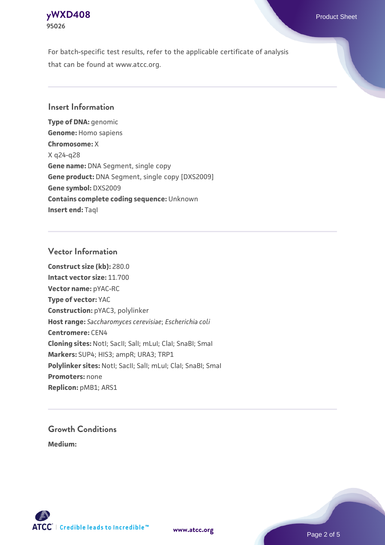### **[yWXD408](https://www.atcc.org/products/95026)** Product Sheet **95026**

For batch-specific test results, refer to the applicable certificate of analysis that can be found at www.atcc.org.

# **Insert Information**

**Type of DNA:** genomic **Genome:** Homo sapiens **Chromosome:** X X q24-q28 **Gene name:** DNA Segment, single copy **Gene product:** DNA Segment, single copy [DXS2009] **Gene symbol:** DXS2009 **Contains complete coding sequence:** Unknown **Insert end: Tagl** 

# **Vector Information**

**Construct size (kb):** 280.0 **Intact vector size:** 11.700 **Vector name:** pYAC-RC **Type of vector:** YAC **Construction:** pYAC3, polylinker **Host range:** *Saccharomyces cerevisiae*; *Escherichia coli* **Centromere:** CEN4 **Cloning sites:** NotI; SacII; SalI; mLuI; ClaI; SnaBI; SmaI **Markers:** SUP4; HIS3; ampR; URA3; TRP1 Polylinker sites: Notl; SacII; SalI; mLuI; ClaI; SnaBI; SmaI **Promoters:** none **Replicon:** pMB1; ARS1

# **Growth Conditions**

**Medium:** 



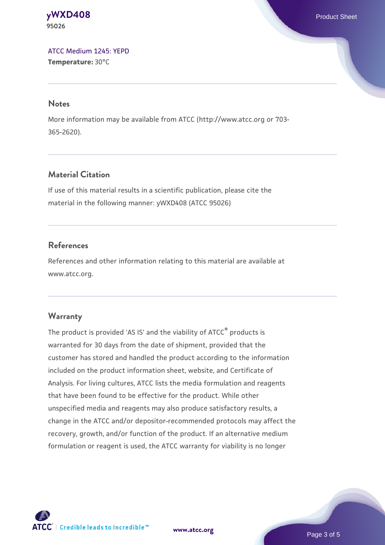#### **[yWXD408](https://www.atcc.org/products/95026)** Product Sheet **95026**

[ATCC Medium 1245: YEPD](https://www.atcc.org/-/media/product-assets/documents/microbial-media-formulations/1/2/4/5/atcc-medium-1245.pdf?rev=705ca55d1b6f490a808a965d5c072196) **Temperature:** 30°C

#### **Notes**

More information may be available from ATCC (http://www.atcc.org or 703- 365-2620).

# **Material Citation**

If use of this material results in a scientific publication, please cite the material in the following manner: yWXD408 (ATCC 95026)

# **References**

References and other information relating to this material are available at www.atcc.org.

# **Warranty**

The product is provided 'AS IS' and the viability of ATCC® products is warranted for 30 days from the date of shipment, provided that the customer has stored and handled the product according to the information included on the product information sheet, website, and Certificate of Analysis. For living cultures, ATCC lists the media formulation and reagents that have been found to be effective for the product. While other unspecified media and reagents may also produce satisfactory results, a change in the ATCC and/or depositor-recommended protocols may affect the recovery, growth, and/or function of the product. If an alternative medium formulation or reagent is used, the ATCC warranty for viability is no longer



**[www.atcc.org](http://www.atcc.org)**

Page 3 of 5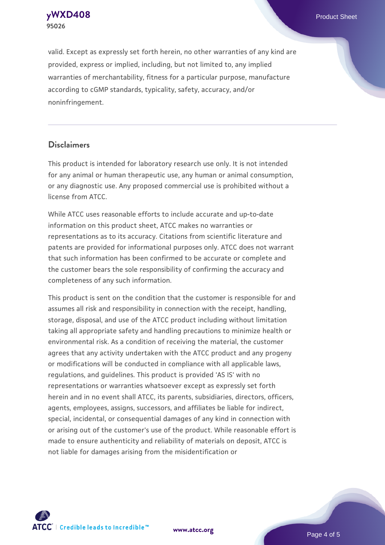**[yWXD408](https://www.atcc.org/products/95026)** Product Sheet **95026**

valid. Except as expressly set forth herein, no other warranties of any kind are provided, express or implied, including, but not limited to, any implied warranties of merchantability, fitness for a particular purpose, manufacture according to cGMP standards, typicality, safety, accuracy, and/or noninfringement.

#### **Disclaimers**

This product is intended for laboratory research use only. It is not intended for any animal or human therapeutic use, any human or animal consumption, or any diagnostic use. Any proposed commercial use is prohibited without a license from ATCC.

While ATCC uses reasonable efforts to include accurate and up-to-date information on this product sheet, ATCC makes no warranties or representations as to its accuracy. Citations from scientific literature and patents are provided for informational purposes only. ATCC does not warrant that such information has been confirmed to be accurate or complete and the customer bears the sole responsibility of confirming the accuracy and completeness of any such information.

This product is sent on the condition that the customer is responsible for and assumes all risk and responsibility in connection with the receipt, handling, storage, disposal, and use of the ATCC product including without limitation taking all appropriate safety and handling precautions to minimize health or environmental risk. As a condition of receiving the material, the customer agrees that any activity undertaken with the ATCC product and any progeny or modifications will be conducted in compliance with all applicable laws, regulations, and guidelines. This product is provided 'AS IS' with no representations or warranties whatsoever except as expressly set forth herein and in no event shall ATCC, its parents, subsidiaries, directors, officers, agents, employees, assigns, successors, and affiliates be liable for indirect, special, incidental, or consequential damages of any kind in connection with or arising out of the customer's use of the product. While reasonable effort is made to ensure authenticity and reliability of materials on deposit, ATCC is not liable for damages arising from the misidentification or



**[www.atcc.org](http://www.atcc.org)**

Page 4 of 5